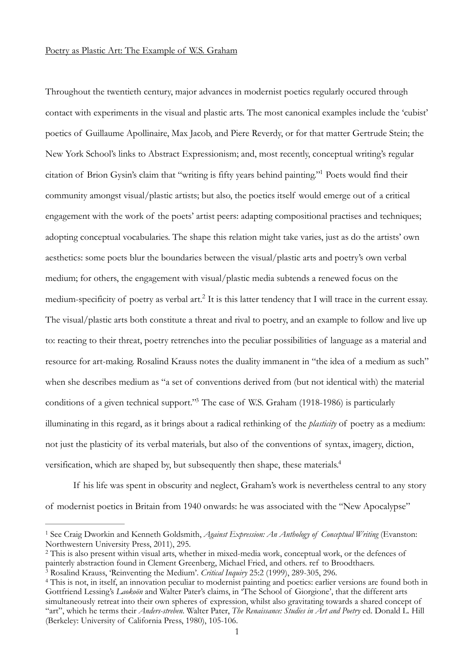## Poetry as Plastic Art: The Example of W.S. Graham

<span id="page-0-4"></span>Throughout the twentieth century, major advances in modernist poetics regularly occured through contact with experiments in the visual and plastic arts. The most canonical examples include the 'cubist' poetics of Guillaume Apollinaire, Max Jacob, and Piere Reverdy, or for that matter Gertrude Stein; the New York School's links to Abstract Expressionism; and, most recently, conceptual writing's regular citation of Brion Gysin's claim that "writing is fifty years behind painting.["](#page-0-0) Poets would find their [1](#page-0-0) community amongst visual/plastic artists; but also, the poetics itself would emerge out of a critical engagement with the work of the poets' artist peers: adapting compositional practises and techniques; adopting conceptual vocabularies. The shape this relation might take varies, just as do the artists' own aesthetics: some poets blur the boundaries between the visual/plastic arts and poetry's own verbal medium; for others, the engagement with visual/plastic media subtends a renewed focus on the medium-specificity of poetry as verbal art[.](#page-0-1)<sup>[2](#page-0-1)</sup> It is this latter tendency that I will trace in the current essay. The visual/plastic arts both constitute a threat and rival to poetry, and an example to follow and live up to: reacting to their threat, poetry retrenches into the peculiar possibilities of language as a material and resource for art-making. Rosalind Krauss notes the duality immanent in "the idea of a medium as such" when she describes medium as "a set of conventions derived from (but not identical with) the material conditions of a given technical support.["](#page-0-2)<sup>[3](#page-0-2)</sup> The case of W.S. Graham (1918-1986) is particularly illuminating in this regard, as it brings about a radical rethinking of the *plasticity* of poetry as a medium: not just the plasticity of its verbal materials, but also of the conventions of syntax, imagery, diction, versification, which are shaped by, but subsequently then shape, these materials.<sup>4</sup>

<span id="page-0-7"></span><span id="page-0-6"></span><span id="page-0-5"></span>If his life was spent in obscurity and neglect, Graham's work is nevertheless central to any story of modernist poetics in Britain from 1940 onwards: he was associated with the "New Apocalypse"

<span id="page-0-0"></span><sup>&</sup>lt;sup>[1](#page-0-4)</sup> See Craig Dworkin and Kenneth Goldsmith, *Against Expression: An Anthology of Conceptual Writing* (Evanston: Northwestern University Press, 2011), 295.

<span id="page-0-1"></span><sup>&</sup>lt;sup>[2](#page-0-5)</sup> This is also present within visual arts, whether in mixed-media work, conceptual work, or the defences of painterly abstraction found in Clement Greenberg, Michael Fried, and others. ref to Broodthaers.

<span id="page-0-2"></span><sup>&</sup>lt;sup>[3](#page-0-6)</sup> Rosalind Krauss, 'Reinventing the Medium'. *Critical Inquiry* 25:2 (1999), 289-305, 296.

<span id="page-0-3"></span><sup>&</sup>lt;sup>[4](#page-0-7)</sup> This is not, in itself, an innovation peculiar to modernist painting and poetics: earlier versions are found both in Gottfriend Lessing's *Laokoön* and Walter Pater's claims, in 'The School of Giorgione', that the different arts simultaneously retreat into their own spheres of expression, whilst also gravitating towards a shared concept of "art", which he terms their *Anders-streben*. Walter Pater, *The Renaissance: Studies in Art and Poetry* ed. Donald L. Hill (Berkeley: University of California Press, 1980), 105-106.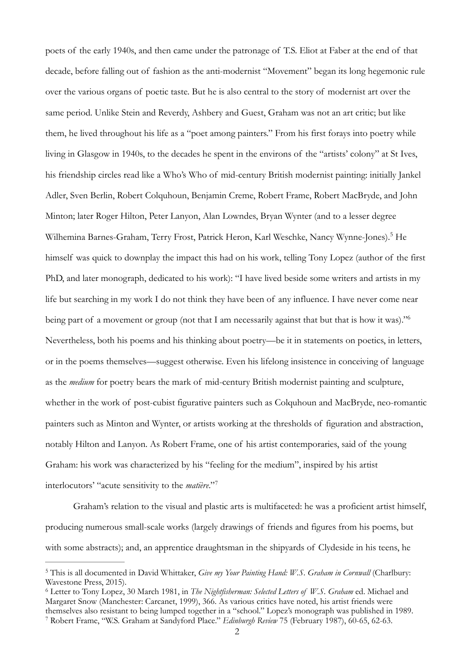<span id="page-1-3"></span>poets of the early 1940s, and then came under the patronage of T.S. Eliot at Faber at the end of that decade, before falling out of fashion as the anti-modernist "Movement" began its long hegemonic rule over the various organs of poetic taste. But he is also central to the story of modernist art over the same period. Unlike Stein and Reverdy, Ashbery and Guest, Graham was not an art critic; but like them, he lived throughout his life as a "poet among painters." From his first forays into poetry while living in Glasgow in 1940s, to the decades he spent in the environs of the "artists' colony" at St Ives, his friendship circles read like a Who's Who of mid-century British modernist painting: initially Jankel Adler, Sven Berlin, Robert Colquhoun, Benjamin Creme, Robert Frame, Robert MacBryde, and John Minton; later Roger Hilton, Peter Lanyon, Alan Lowndes, Bryan Wynter (and to a lesser degree Wilhemina Barnes-Graham, Terry Frost, Patrick Heron, Karl Weschke, Nancy Wynne-Jones)[.](#page-1-0)<sup>[5](#page-1-0)</sup> He himself was quick to downplay the impact this had on his work, telling Tony Lopez (author of the first PhD, and later monograph, dedicated to his work): "I have lived beside some writers and artists in my life but searching in my work I do not think they have been of any influence. I have never come near being part of a movement or group (not that I am necessarily against that but that is how it was).["6](#page-1-1) Nevertheless, both his poems and his thinking about poetry—be it in statements on poetics, in letters, or in the poems themselves—suggest otherwise. Even his lifelong insistence in conceiving of language as the *medium* for poetry bears the mark of mid-century British modernist painting and sculpture, whether in the work of post-cubist figurative painters such as Colquhoun and MacBryde, neo-romantic painters such as Minton and Wynter, or artists working at the thresholds of figuration and abstraction, notably Hilton and Lanyon. As Robert Frame, one of his artist contemporaries, said of the young Graham: his work was characterized by his "feeling for the medium", inspired by his artist interlocutors' "acute sensitivity to the *matière*."<sup>7</sup>

<span id="page-1-5"></span><span id="page-1-4"></span>Graham's relation to the visual and plastic arts is multifaceted: he was a proficient artist himself, producing numerous small-scale works (largely drawings of friends and figures from his poems, but with some abstracts); and, an apprentice draughtsman in the shipyards of Clydeside in his teens, he

<span id="page-1-0"></span><sup>&</sup>lt;sup>[5](#page-1-3)</sup> This is all documented in David Whittaker, *Give my Your Painting Hand: W.S. Graham in Cornwall* (Charlbury: Wavestone Press, 2015).

<span id="page-1-2"></span><span id="page-1-1"></span>Letter to Tony Lopez, 30 March 1981, in *The Nightfisherman: Selected Letters of W.S. Graham* ed. Michael and [6](#page-1-4) Margaret Snow (Manchester: Carcanet, 1999), 366. As various critics have noted, his artist friends were themselves also resistant to being lumped together in a "school." Lopez's monograph was published in 1989. Robert Frame, "W.S. Graham at Sandyford Place." *Edinburgh Review* 75 (February 1987), 60-65, 62-63. [7](#page-1-5)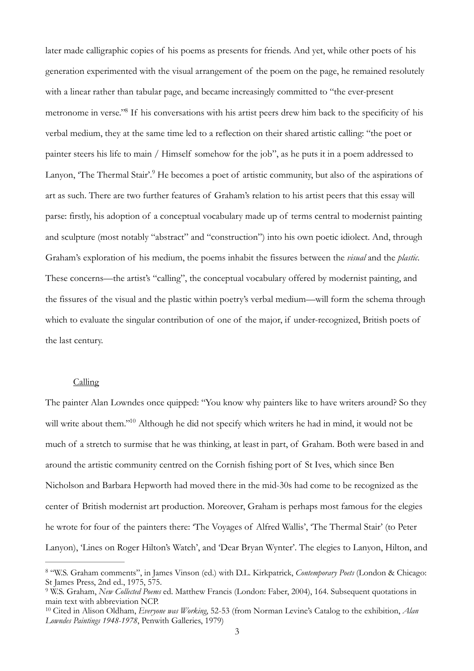<span id="page-2-4"></span><span id="page-2-3"></span>later made calligraphic copies of his poems as presents for friends. And yet, while other poets of his generation experimented with the visual arrangement of the poem on the page, he remained resolutely with a linear rather than tabular page, and became increasingly committed to "the ever-present metronome in verse.["](#page-2-0)<sup>[8](#page-2-0)</sup> If his conversations with his artist peers drew him back to the specificity of his verbal medium, they at the same time led to a reflection on their shared artistic calling: "the poet or painter steers his life to main / Himself somehow for the job", as he puts it in a poem addressed to Lanyon, 'The Thermal Stair'[.](#page-2-1)<sup>[9](#page-2-1)</sup> He becomes a poet of artistic community, but also of the aspirations of art as such. There are two further features of Graham's relation to his artist peers that this essay will parse: firstly, his adoption of a conceptual vocabulary made up of terms central to modernist painting and sculpture (most notably "abstract" and "construction") into his own poetic idiolect. And, through Graham's exploration of his medium, the poems inhabit the fissures between the *visual* and the *plastic*. These concerns—the artist's "calling", the conceptual vocabulary offered by modernist painting, and the fissures of the visual and the plastic within poetry's verbal medium—will form the schema through which to evaluate the singular contribution of one of the major, if under-recognized, British poets of the last century.

#### <span id="page-2-5"></span>Calling

The painter Alan Lowndes once quipped: "You know why painters like to have writers around? So they will write about them."<sup>[10](#page-2-2)</sup> Although he did not specify which writers he had in mind, it would not be much of a stretch to surmise that he was thinking, at least in part, of Graham. Both were based in and around the artistic community centred on the Cornish fishing port of St Ives, which since Ben Nicholson and Barbara Hepworth had moved there in the mid-30s had come to be recognized as the center of British modernist art production. Moreover, Graham is perhaps most famous for the elegies he wrote for four of the painters there: 'The Voyages of Alfred Wallis', 'The Thermal Stair' (to Peter Lanyon), 'Lines on Roger Hilton's Watch', and 'Dear Bryan Wynter'. The elegies to Lanyon, Hilton, and

<span id="page-2-0"></span> <sup>&</sup>quot;W.S. Graham comments", in James Vinson (ed.) with D.L. Kirkpatrick, *Contemporary Poets* (London & Chicago: [8](#page-2-3) St James Press, 2nd ed., 1975, 575.

<span id="page-2-1"></span>W.S. Graham, *New Collected Poems* ed. Matthew Francis (London: Faber, 2004), 164. Subsequent quotations in [9](#page-2-4) main text with abbreviation NCP.

<span id="page-2-2"></span><sup>&</sup>lt;sup>[10](#page-2-5)</sup> Cited in Alison Oldham, *Everyone was Working*, 52-53 (from Norman Levine's Catalog to the exhibition, *Alan Lowndes Paintings 1948-1978*, Penwith Galleries, 1979)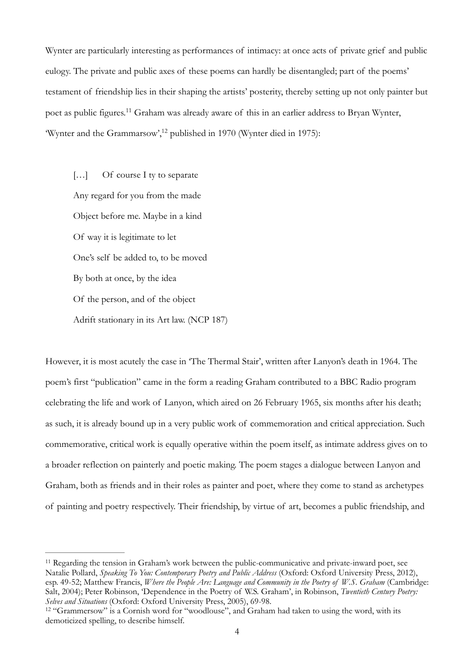Wynter are particularly interesting as performances of intimacy: at once acts of private grief and public eulogy. The private and public axes of these poems can hardly be disentangled; part of the poems' testament of friendship lies in their shaping the artists' posterity, thereby setting up not only painter but poet as public figures[.](#page-3-0)<sup>[11](#page-3-0)</sup> Graham was already aware of this in an earlier address to Bryan Wynter, 'Wynter and the Grammarsow'[,](#page-3-1)<sup>[12](#page-3-1)</sup> published in 1970 (Wynter died in 1975):

<span id="page-3-3"></span><span id="page-3-2"></span>[...] Of course I ty to separate Any regard for you from the made Object before me. Maybe in a kind Of way it is legitimate to let One's self be added to, to be moved By both at once, by the idea Of the person, and of the object Adrift stationary in its Art law. (NCP 187)

However, it is most acutely the case in 'The Thermal Stair', written after Lanyon's death in 1964. The poem's first "publication" came in the form a reading Graham contributed to a BBC Radio program celebrating the life and work of Lanyon, which aired on 26 February 1965, six months after his death; as such, it is already bound up in a very public work of commemoration and critical appreciation. Such commemorative, critical work is equally operative within the poem itself, as intimate address gives on to a broader reflection on painterly and poetic making. The poem stages a dialogue between Lanyon and Graham, both as friends and in their roles as painter and poet, where they come to stand as archetypes of painting and poetry respectively. Their friendship, by virtue of art, becomes a public friendship, and

<span id="page-3-0"></span> $11$ Regarding the tension in Graham's work between the public-communicative and private-inward poet, see Natalie Pollard, *Speaking To You: Contemporary Poetry and Public Address* (Oxford: Oxford University Press, 2012), esp. 49-52; Matthew Francis, *Where the People Are: Language and Community in the Poetry of W.S. Graham* (Cambridge: Salt, 2004); Peter Robinson, 'Dependence in the Poetry of W.S. Graham', in Robinson, *Twentieth Century Poetry: Selves and Situations* (Oxford: Oxford University Press, 2005), 69-98.

<span id="page-3-1"></span><sup>&</sup>lt;sup>[12](#page-3-3)</sup> "Grammersow" is a Cornish word for "woodlouse", and Graham had taken to using the word, with its demoticized spelling, to describe himself.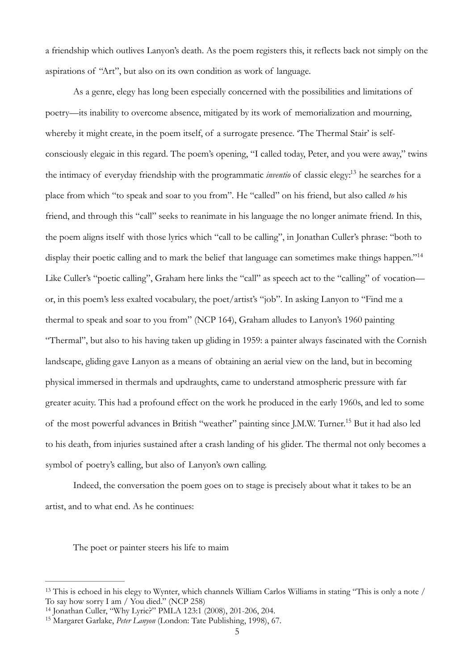a friendship which outlives Lanyon's death. As the poem registers this, it reflects back not simply on the aspirations of "Art", but also on its own condition as work of language.

<span id="page-4-4"></span><span id="page-4-3"></span>As a genre, elegy has long been especially concerned with the possibilities and limitations of poetry—its inability to overcome absence, mitigated by its work of memorialization and mourning, whereby it might create, in the poem itself, of a surrogate presence. 'The Thermal Stair' is selfconsciously elegaic in this regard. The poem's opening, "I called today, Peter, and you were away," twins the intimacy of everyday friendship with the programmatic *inventio* of classic elegy[:](#page-4-0)<sup>[13](#page-4-0)</sup> he searches for a place from which "to speak and soar to you from". He "called" on his friend, but also called *to* his friend, and through this "call" seeks to reanimate in his language the no longer animate friend. In this, the poem aligns itself with those lyrics which "call to be calling", in Jonathan Culler's phrase: "both to display their poetic calling and to mark the belief that language can sometimes make things happen."<sup>14</sup> Like Culler's "poetic calling", Graham here links the "call" as speech act to the "calling" of vocation or, in this poem's less exalted vocabulary, the poet/artist's "job". In asking Lanyon to "Find me a thermal to speak and soar to you from" (NCP 164), Graham alludes to Lanyon's 1960 painting "Thermal", but also to his having taken up gliding in 1959: a painter always fascinated with the Cornish landscape, gliding gave Lanyon as a means of obtaining an aerial view on the land, but in becoming physical immersed in thermals and updraughts, came to understand atmospheric pressure with far greater acuity. This had a profound effect on the work he produced in the early 1960s, and led to some of the most powerful advances in British "weather" painting since J[.](#page-4-2)M.W. Turner.<sup>[15](#page-4-2)</sup> But it had also led to his death, from injuries sustained after a crash landing of his glider. The thermal not only becomes a symbol of poetry's calling, but also of Lanyon's own calling.

Indeed, the conversation the poem goes on to stage is precisely about what it takes to be an artist, and to what end. As he continues:

<span id="page-4-5"></span>The poet or painter steers his life to maim

<span id="page-4-0"></span><sup>&</sup>lt;sup>13</sup>This is echoed in his elegy to Wynter, which channels William Carlos Williams in stating "This is only a note / To say how sorry I am / You died." (NCP 258)

<span id="page-4-1"></span><sup>&</sup>lt;sup>[14](#page-4-4)</sup> Jonathan Culler, "Why Lyric?" PMLA 123:1 (2008), 201-206, 204.

<span id="page-4-2"></span><sup>&</sup>lt;sup>[15](#page-4-5)</sup> Margaret Garlake, *Peter Lanyon* (London: Tate Publishing, 1998), 67.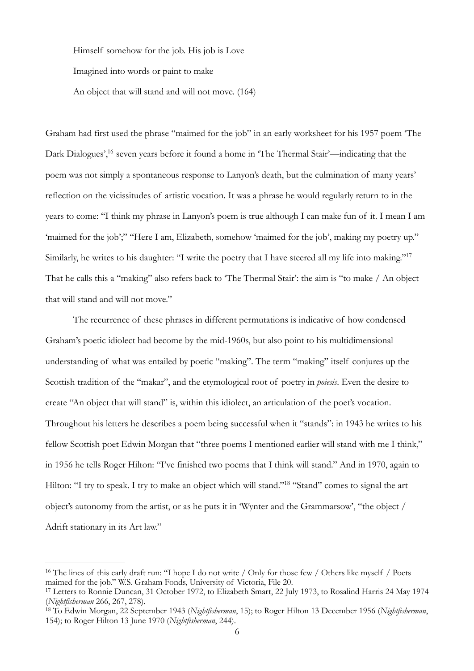Himself somehow for the job. His job is Love Imagined into words or paint to make An object that will stand and will not move. (164)

<span id="page-5-3"></span>Graham had first used the phrase "maimed for the job" in an early worksheet for his 1957 poem 'The Dark Dialogues',<sup>[16](#page-5-0)</sup> seven years before it found a home in 'The Thermal Stair'—indicating that the poem was not simply a spontaneous response to Lanyon's death, but the culmination of many years' reflection on the vicissitudes of artistic vocation. It was a phrase he would regularly return to in the years to come: "I think my phrase in Lanyon's poem is true although I can make fun of it. I mean I am 'maimed for the job';" "Here I am, Elizabeth, somehow 'maimed for the job', making my poetry up." Similarly, he writes to his daughter: "I write the poetry that I have steered all my life into making."<sup>17</sup> That he calls this a "making" also refers back to 'The Thermal Stair': the aim is "to make / An object that will stand and will not move."

<span id="page-5-4"></span>The recurrence of these phrases in different permutations is indicative of how condensed Graham's poetic idiolect had become by the mid-1960s, but also point to his multidimensional understanding of what was entailed by poetic "making". The term "making" itself conjures up the Scottish tradition of the "makar", and the etymological root of poetry in *poiesis*. Even the desire to create "An object that will stand" is, within this idiolect, an articulation of the poet's vocation. Throughout his letters he describes a poem being successful when it "stands": in 1943 he writes to his fellow Scottish poet Edwin Morgan that "three poems I mentioned earlier will stand with me I think," in 1956 he tells Roger Hilton: "I've finished two poems that I think will stand." And in 1970, again to Hilton: ["](#page-5-2)I try to speak. I try to make an object which will stand."<sup>[18](#page-5-2)</sup> "Stand" comes to signal the art object's autonomy from the artist, or as he puts it in 'Wynter and the Grammarsow', "the object / Adrift stationary in its Art law."

<span id="page-5-5"></span><span id="page-5-0"></span><sup>&</sup>lt;sup>16</sup>The lines of this early draft run: "I hope I do not write / Only for those few / Others like myself / Poets maimed for the job." W.S. Graham Fonds, University of Victoria, File 20.

<span id="page-5-1"></span><sup>&</sup>lt;sup>17</sup>Letters to Ronnie Duncan, 31 October 1972, to Elizabeth Smart, 22 July 1973, to Rosalind Harris 24 May 1974 (*Nightfisherman* 266, 267, 278).

<span id="page-5-2"></span>To Edwin Morgan, 22 September 1943 (*Nightfisherman*, 15); to Roger Hilton 13 December 1956 (*Nightfisherman*, [18](#page-5-5) 154); to Roger Hilton 13 June 1970 (*Nightfisherman*, 244).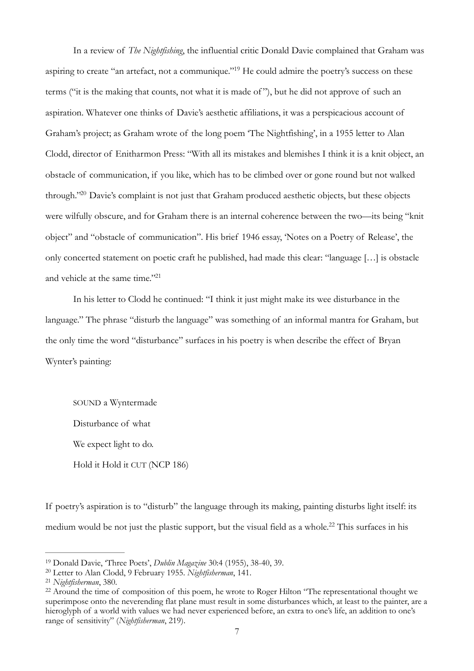<span id="page-6-4"></span>In a review of *The Nightfishing*, the influential critic Donald Davie complained that Graham was aspiring to create "an artefact, not a communique."<sup>[19](#page-6-0)</sup> He could admire the poetry's success on these terms ("it is the making that counts, not what it is made of "), but he did not approve of such an aspiration. Whatever one thinks of Davie's aesthetic affiliations, it was a perspicacious account of Graham's project; as Graham wrote of the long poem 'The Nightfishing', in a 1955 letter to Alan Clodd, director of Enitharmon Press: "With all its mistakes and blemishes I think it is a knit object, an obstacle of communication, if you like, which has to be climbed over or gone round but not walked through.["](#page-6-1)<sup>[20](#page-6-1)</sup> Davie's complaint is not just that Graham produced aesthetic objects, but these objects were wilfully obscure, and for Graham there is an internal coherence between the two—its being "knit object" and "obstacle of communication". His brief 1946 essay, 'Notes on a Poetry of Release', the only concerted statement on poetic craft he published, had made this clear: "language […] is obstacle and vehicle at the same time."<sup>21</sup>

<span id="page-6-6"></span><span id="page-6-5"></span>In his letter to Clodd he continued: "I think it just might make its wee disturbance in the language." The phrase "disturb the language" was something of an informal mantra for Graham, but the only time the word "disturbance" surfaces in his poetry is when describe the effect of Bryan Wynter's painting:

<span id="page-6-7"></span>SOUND a Wyntermade Disturbance of what We expect light to do. Hold it Hold it CUT (NCP 186)

If poetry's aspiration is to "disturb" the language through its making, painting disturbs light itself: its medium would be not just the plastic support, but the visual field as a whole[.](#page-6-3)<sup>[22](#page-6-3)</sup> This surfaces in his

<span id="page-6-0"></span><sup>&</sup>lt;sup>[19](#page-6-4)</sup> Donald Davie, 'Three Poets', *Dublin Magazine* 30:4 (1955), 38-40, 39.

<span id="page-6-1"></span><sup>&</sup>lt;sup>[20](#page-6-5)</sup> Letter to Alan Clodd, 9 February 1955. *Nightfisherman*, 141.

<span id="page-6-2"></span><sup>&</sup>lt;sup>[21](#page-6-6)</sup> Nightfisherman, 380.

<span id="page-6-3"></span><sup>&</sup>lt;sup>22</sup>Around the time of composition of this poem, he wrote to Roger Hilton "The representational thought we superimpose onto the neverending flat plane must result in some disturbances which, at least to the painter, are a hieroglyph of a world with values we had never experienced before, an extra to one's life, an addition to one's range of sensitivity" (*Nightfisherman*, 219).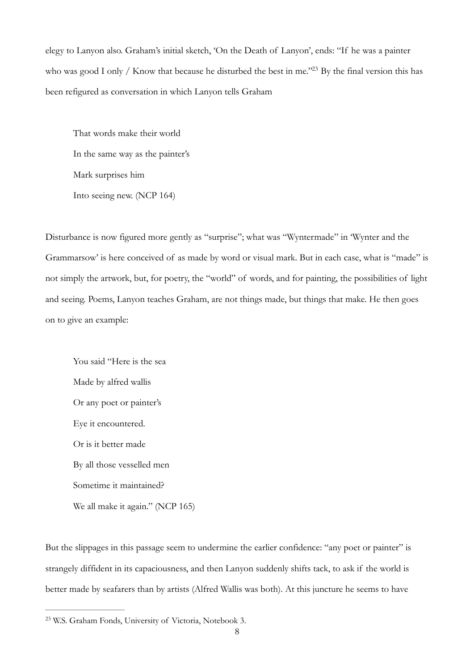elegy to Lanyon also. Graham's initial sketch, 'On the Death of Lanyon', ends: "If he was a painter who was good I only / Know that because he disturbed the best in me.["](#page-7-0)<sup>[23](#page-7-0)</sup> By the final version this has been refigured as conversation in which Lanyon tells Graham

<span id="page-7-1"></span>That words make their world In the same way as the painter's Mark surprises him Into seeing new. (NCP 164)

Disturbance is now figured more gently as "surprise"; what was "Wyntermade" in 'Wynter and the Grammarsow' is here conceived of as made by word or visual mark. But in each case, what is "made" is not simply the artwork, but, for poetry, the "world" of words, and for painting, the possibilities of light and seeing. Poems, Lanyon teaches Graham, are not things made, but things that make. He then goes on to give an example:

You said "Here is the sea Made by alfred wallis Or any poet or painter's Eye it encountered. Or is it better made By all those vesselled men Sometime it maintained? We all make it again." (NCP 165)

But the slippages in this passage seem to undermine the earlier confidence: "any poet or painter" is strangely diffident in its capaciousness, and then Lanyon suddenly shifts tack, to ask if the world is better made by seafarers than by artists (Alfred Wallis was both). At this juncture he seems to have

<span id="page-7-0"></span>W.S. Graham Fonds, University of Victoria, Notebook 3. [23](#page-7-1)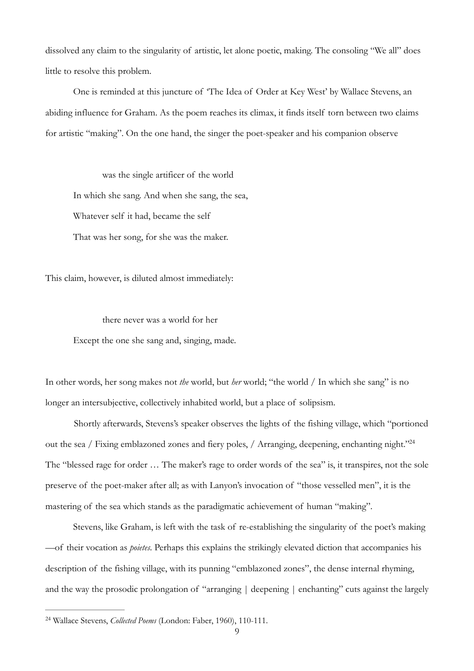dissolved any claim to the singularity of artistic, let alone poetic, making. The consoling "We all" does little to resolve this problem.

One is reminded at this juncture of 'The Idea of Order at Key West' by Wallace Stevens, an abiding influence for Graham. As the poem reaches its climax, it finds itself torn between two claims for artistic "making". On the one hand, the singer the poet-speaker and his companion observe

 was the single artificer of the world In which she sang. And when she sang, the sea, Whatever self it had, became the self That was her song, for she was the maker.

This claim, however, is diluted almost immediately:

<span id="page-8-1"></span> there never was a world for her Except the one she sang and, singing, made.

In other words, her song makes not *the* world, but *her* world; "the world / In which she sang" is no longer an intersubjective, collectively inhabited world, but a place of solipsism.

 Shortly afterwards, Stevens's speaker observes the lights of the fishing village, which "portioned out the sea / Fixing emblazoned zones and fiery poles, / Arranging, deepening, enchanting night.["24](#page-8-0) The "blessed rage for order … The maker's rage to order words of the sea" is, it transpires, not the sole preserve of the poet-maker after all; as with Lanyon's invocation of "those vesselled men", it is the mastering of the sea which stands as the paradigmatic achievement of human "making".

Stevens, like Graham, is left with the task of re-establishing the singularity of the poet's making —of their vocation as *poietes*. Perhaps this explains the strikingly elevated diction that accompanies his description of the fishing village, with its punning "emblazoned zones", the dense internal rhyming, and the way the prosodic prolongation of "arranging | deepening | enchanting" cuts against the largely

<span id="page-8-0"></span><sup>&</sup>lt;sup>[24](#page-8-1)</sup> Wallace Stevens, *Collected Poems* (London: Faber, 1960), 110-111.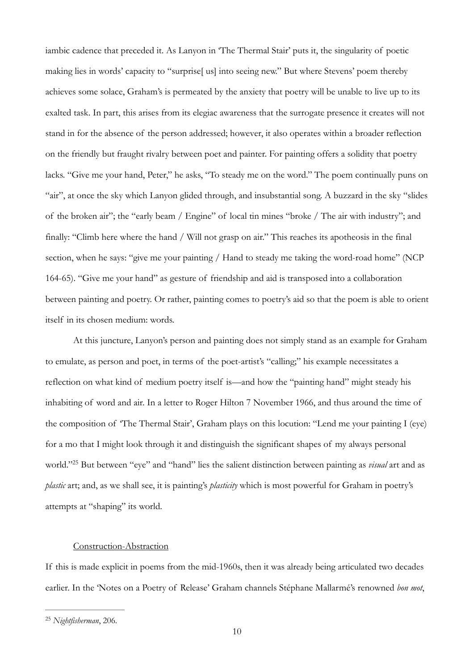iambic cadence that preceded it. As Lanyon in 'The Thermal Stair' puts it, the singularity of poetic making lies in words' capacity to "surprise[ us] into seeing new." But where Stevens' poem thereby achieves some solace, Graham's is permeated by the anxiety that poetry will be unable to live up to its exalted task. In part, this arises from its elegiac awareness that the surrogate presence it creates will not stand in for the absence of the person addressed; however, it also operates within a broader reflection on the friendly but fraught rivalry between poet and painter. For painting offers a solidity that poetry lacks. "Give me your hand, Peter," he asks, "To steady me on the word." The poem continually puns on "air", at once the sky which Lanyon glided through, and insubstantial song. A buzzard in the sky "slides of the broken air"; the "early beam / Engine" of local tin mines "broke / The air with industry"; and finally: "Climb here where the hand / Will not grasp on air." This reaches its apotheosis in the final section, when he says: "give me your painting / Hand to steady me taking the word-road home" (NCP 164-65). "Give me your hand" as gesture of friendship and aid is transposed into a collaboration between painting and poetry. Or rather, painting comes to poetry's aid so that the poem is able to orient itself in its chosen medium: words.

At this juncture, Lanyon's person and painting does not simply stand as an example for Graham to emulate, as person and poet, in terms of the poet-artist's "calling;" his example necessitates a reflection on what kind of medium poetry itself is—and how the "painting hand" might steady his inhabiting of word and air. In a letter to Roger Hilton 7 November 1966, and thus around the time of the composition of 'The Thermal Stair', Graham plays on this locution: "Lend me your painting I (eye) for a mo that I might look through it and distinguish the significant shapes of my always personal world."<sup>[25](#page-9-0)</sup> But between "eye" and "hand" lies the salient distinction between painting as *visual* art and as *plastic* art; and, as we shall see, it is painting's *plasticity* which is most powerful for Graham in poetry's attempts at "shaping" its world.

## <span id="page-9-1"></span>Construction-Abstraction

If this is made explicit in poems from the mid-1960s, then it was already being articulated two decades earlier. In the 'Notes on a Poetry of Release' Graham channels Stéphane Mallarmé's renowned *bon mot*,

<span id="page-9-0"></span><sup>&</sup>lt;sup>[25](#page-9-1)</sup> Nightfisherman, 206.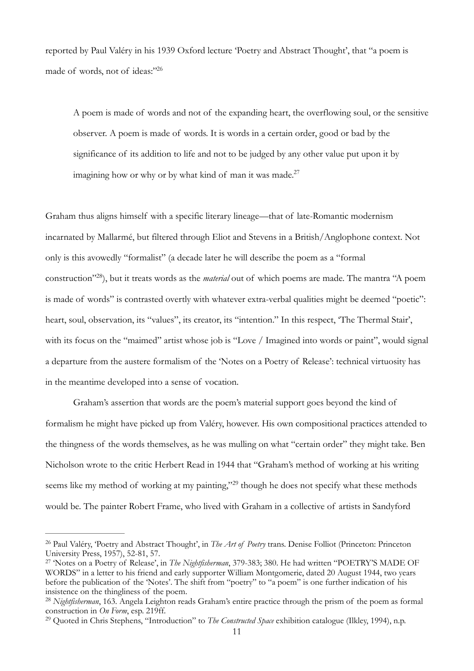reported by Paul Valéry in his 1939 Oxford lecture 'Poetry and Abstract Thought', that "a poem is made of words, not of ideas:"26

<span id="page-10-5"></span><span id="page-10-4"></span>A poem is made of words and not of the expanding heart, the overflowing soul, or the sensitive observer. A poem is made of words. It is words in a certain order, good or bad by the significance of its addition to life and not to be judged by any other value put upon it by imagining how or why or by what kind of man it was made.<sup>27</sup>

<span id="page-10-6"></span>Graham thus aligns himself with a specific literary lineage—that of late-Romantic modernism incarnated by Mallarmé, but filtered through Eliot and Stevens in a British/Anglophone context. Not only is this avowedly "formalist" (a decade later he will describe the poem as a "formal construction"<sup>[28](#page-10-2)</sup>), but it treats words as the *material* out of which poems are made. The mantra "A poem is made of words" is contrasted overtly with whatever extra-verbal qualities might be deemed "poetic": heart, soul, observation, its "values", its creator, its "intention." In this respect, 'The Thermal Stair', with its focus on the "maimed" artist whose job is "Love / Imagined into words or paint", would signal a departure from the austere formalism of the 'Notes on a Poetry of Release': technical virtuosity has in the meantime developed into a sense of vocation.

Graham's assertion that words are the poem's material support goes beyond the kind of formalism he might have picked up from Valéry, however. His own compositional practices attended to the thingness of the words themselves, as he was mulling on what "certain order" they might take. Ben Nicholson wrote to the critic Herbert Read in 1944 that "Graham's method of working at his writing seems like my method of working at my painting,"<sup>[29](#page-10-3)</sup> though he does not specify what these methods would be. The painter Robert Frame, who lived with Graham in a collective of artists in Sandyford

<span id="page-10-7"></span><span id="page-10-0"></span><sup>&</sup>lt;sup>[26](#page-10-4)</sup> Paul Valéry, 'Poetry and Abstract Thought', in *The Art of Poetry* trans. Denise Folliot (Princeton: Princeton University Press, 1957), 52-81, 57.

<span id="page-10-1"></span><sup>&</sup>lt;sup>[27](#page-10-5)</sup> 'Notes on a Poetry of Release', in *The Nightfisherman*, 379-383; 380. He had written "POETRY'S MADE OF WORDS" in a letter to his friend and early supporter William Montgomerie, dated 20 August 1944, two years before the publication of the 'Notes'. The shift from "poetry" to "a poem" is one further indication of his insistence on the thingliness of the poem.

<span id="page-10-2"></span><sup>&</sup>lt;sup>[28](#page-10-6)</sup> Nightfisherman, 163. Angela Leighton reads Graham's entire practice through the prism of the poem as formal construction in *On Form*, esp. 219ff.

<span id="page-10-3"></span><sup>&</sup>lt;sup>[29](#page-10-7)</sup> Quoted in Chris Stephens, "Introduction" to *The Constructed Space* exhibition catalogue (Ilkley, 1994), n.p.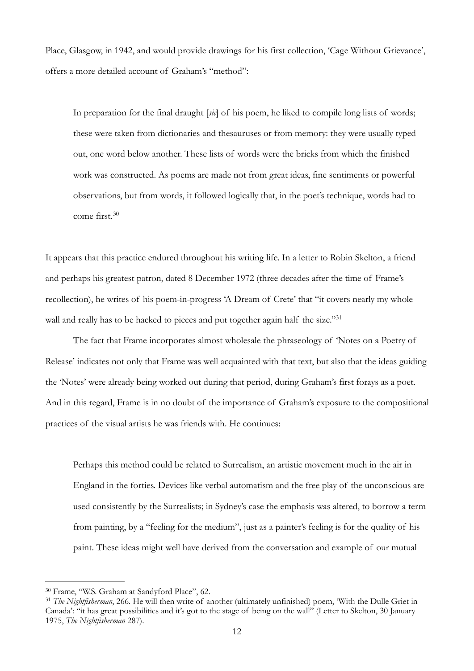Place, Glasgow, in 1942, and would provide drawings for his first collection, 'Cage Without Grievance', offers a more detailed account of Graham's "method":

In preparation for the final draught [*sic*] of his poem, he liked to compile long lists of words; these were taken from dictionaries and thesauruses or from memory: they were usually typed out, one word below another. These lists of words were the bricks from which the finished work was constructed. As poems are made not from great ideas, fine sentiments or powerful observations, but from words, it followed logically that, in the poet's technique, words had to come first. [30](#page-11-0)

<span id="page-11-2"></span>It appears that this practice endured throughout his writing life. In a letter to Robin Skelton, a friend and perhaps his greatest patron, dated 8 December 1972 (three decades after the time of Frame's recollection), he writes of his poem-in-progress 'A Dream of Crete' that "it covers nearly my whole wall and really has to be hacked to pieces and put together again half the size."<sup>[31](#page-11-1)</sup>

<span id="page-11-3"></span>The fact that Frame incorporates almost wholesale the phraseology of 'Notes on a Poetry of Release' indicates not only that Frame was well acquainted with that text, but also that the ideas guiding the 'Notes' were already being worked out during that period, during Graham's first forays as a poet. And in this regard, Frame is in no doubt of the importance of Graham's exposure to the compositional practices of the visual artists he was friends with. He continues:

Perhaps this method could be related to Surrealism, an artistic movement much in the air in England in the forties. Devices like verbal automatism and the free play of the unconscious are used consistently by the Surrealists; in Sydney's case the emphasis was altered, to borrow a term from painting, by a "feeling for the medium", just as a painter's feeling is for the quality of his paint. These ideas might well have derived from the conversation and example of our mutual

<span id="page-11-0"></span><sup>&</sup>lt;sup>[30](#page-11-2)</sup> Frame, "W.S. Graham at Sandyford Place", 62.

<span id="page-11-1"></span>*The Nightfisherman*, 266. He will then write of another (ultimately unfinished) poem, 'With the Dulle Griet in [31](#page-11-3) Canada': "it has great possibilities and it's got to the stage of being on the wall" (Letter to Skelton, 30 January 1975, *The Nightfisherman* 287).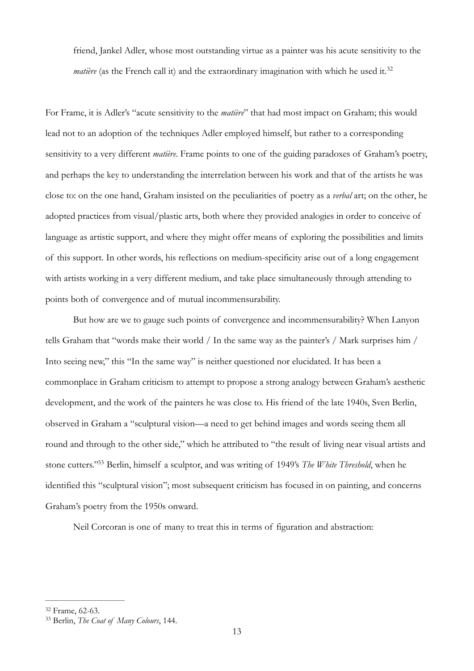<span id="page-12-2"></span>friend, Jankel Adler, whose most outstanding virtue as a painter was his acute sensitivity to the *matière* (as the French call it) and the extraordinary imagination with which he used it.<sup>[32](#page-12-0)</sup>

For Frame, it is Adler's "acute sensitivity to the *matière*" that had most impact on Graham; this would lead not to an adoption of the techniques Adler employed himself, but rather to a corresponding sensitivity to a very different *matière*. Frame points to one of the guiding paradoxes of Graham's poetry, and perhaps the key to understanding the interrelation between his work and that of the artists he was close to: on the one hand, Graham insisted on the peculiarities of poetry as a *verbal* art; on the other, he adopted practices from visual/plastic arts, both where they provided analogies in order to conceive of language as artistic support, and where they might offer means of exploring the possibilities and limits of this support. In other words, his reflections on medium-specificity arise out of a long engagement with artists working in a very different medium, and take place simultaneously through attending to points both of convergence and of mutual incommensurability.

But how are we to gauge such points of convergence and incommensurability? When Lanyon tells Graham that "words make their world / In the same way as the painter's / Mark surprises him / Into seeing new," this "In the same way" is neither questioned nor elucidated. It has been a commonplace in Graham criticism to attempt to propose a strong analogy between Graham's aesthetic development, and the work of the painters he was close to. His friend of the late 1940s, Sven Berlin, observed in Graham a "sculptural vision—a need to get behind images and words seeing them all round and through to the other side," which he attributed to "the result of living near visual artists and stone cutters."<sup>[33](#page-12-1)</sup> Berlin, himself a sculptor, and was writing of 1949's *The White Threshold*, when he identified this "sculptural vision"; most subsequent criticism has focused in on painting, and concerns Graham's poetry from the 1950s onward.

<span id="page-12-3"></span>Neil Corcoran is one of many to treat this in terms of figuration and abstraction:

<span id="page-12-0"></span>[<sup>32</sup>](#page-12-2) Frame, 62-63.

<span id="page-12-1"></span><sup>&</sup>lt;sup>[33](#page-12-3)</sup> Berlin, *The Coat of Many Colours*, 144.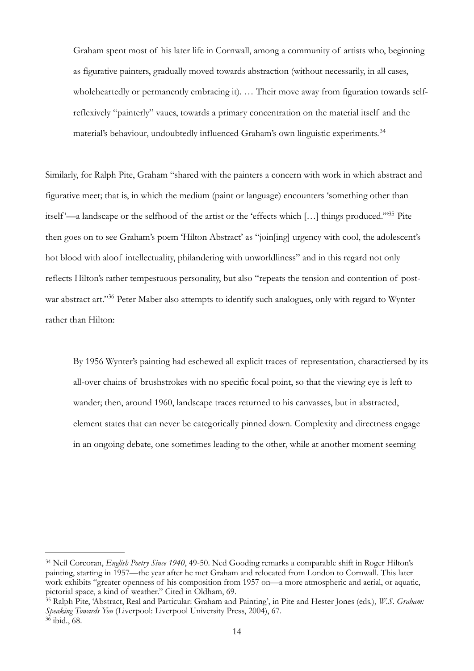<span id="page-13-3"></span>Graham spent most of his later life in Cornwall, among a community of artists who, beginning as figurative painters, gradually moved towards abstraction (without necessarily, in all cases, wholeheartedly or permanently embracing it). ... Their move away from figuration towards selfreflexively "painterly" vaues, towards a primary concentration on the material itself and the material's behaviour, undoubtedly influenced Graham's own linguistic experiments. [34](#page-13-0)

<span id="page-13-4"></span>Similarly, for Ralph Pite, Graham "shared with the painters a concern with work in which abstract and figurative meet; that is, in which the medium (paint or language) encounters 'something other than itself'—a landscape or the selfhood of the artist or the 'effects which [...] things produced.["](#page-13-1)<sup>[35](#page-13-1)</sup> Pite then goes on to see Graham's poem 'Hilton Abstract' as "join[ing] urgency with cool, the adolescent's hot blood with aloof intellectuality, philandering with unworldliness" and in this regard not only reflects Hilton's rather tempestuous personality, but also "repeats the tension and contention of post-war abstract art.["](#page-13-2)<sup>[36](#page-13-2)</sup> Peter Maber also attempts to identify such analogues, only with regard to Wynter rather than Hilton:

<span id="page-13-5"></span>By 1956 Wynter's painting had eschewed all explicit traces of representation, charactiersed by its all-over chains of brushstrokes with no specific focal point, so that the viewing eye is left to wander; then, around 1960, landscape traces returned to his canvasses, but in abstracted, element states that can never be categorically pinned down. Complexity and directness engage in an ongoing debate, one sometimes leading to the other, while at another moment seeming

<span id="page-13-0"></span><sup>&</sup>lt;sup>[34](#page-13-3)</sup> Neil Corcoran, *English Poetry Since 1940*, 49-50. Ned Gooding remarks a comparable shift in Roger Hilton's painting, starting in 1957—the year after he met Graham and relocated from London to Cornwall. This later work exhibits "greater openness of his composition from 1957 on—a more atmospheric and aerial, or aquatic, pictorial space, a kind of weather." Cited in Oldham, 69.

<span id="page-13-1"></span>Ralph Pite, 'Abstract, Real and Particular: Graham and Painting', in Pite and Hester Jones (eds.), *W.S. Graham:* [35](#page-13-4) *Speaking Towards You* (Liverpool: Liverpool University Press, 2004), 67.

<span id="page-13-2"></span> $36$  ibid., 68.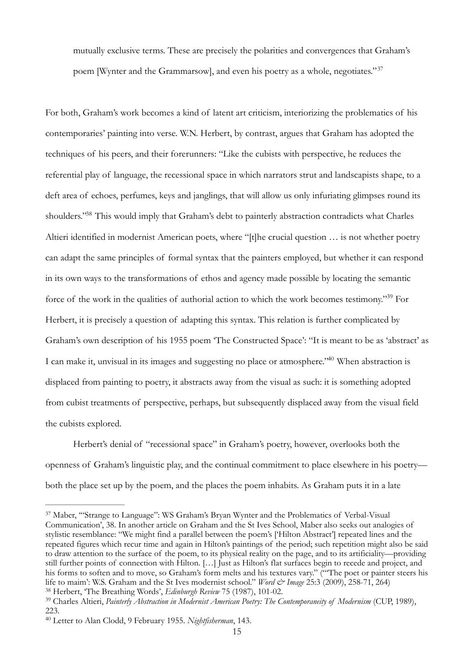<span id="page-14-4"></span>mutually exclusive terms. These are precisely the polarities and convergences that Graham's poem [Wynter and the Grammarsow], and even his poetry as a whole, negotiates." [37](#page-14-0)

<span id="page-14-5"></span>For both, Graham's work becomes a kind of latent art criticism, interiorizing the problematics of his contemporaries' painting into verse. W.N. Herbert, by contrast, argues that Graham has adopted the techniques of his peers, and their forerunners: "Like the cubists with perspective, he reduces the referential play of language, the recessional space in which narrators strut and landscapists shape, to a deft area of echoes, perfumes, keys and janglings, that will allow us only infuriating glimpses round its shoulders.["](#page-14-1)<sup>[38](#page-14-1)</sup> This would imply that Graham's debt to painterly abstraction contradicts what Charles Altieri identified in modernist American poets, where "[t]he crucial question … is not whether poetry can adapt the same principles of formal syntax that the painters employed, but whether it can respond in its own ways to the transformations of ethos and agency made possible by locating the semantic force of the work in the qualities of authorial action to which the work becomes testimony."<sup>[39](#page-14-2)</sup> For Herbert, it is precisely a question of adapting this syntax. This relation is further complicated by Graham's own description of his 1955 poem 'The Constructed Space': "It is meant to be as 'abstract' as I can make it, unvisual in its images and suggesting no place or atmosphere.["](#page-14-3)<sup>[40](#page-14-3)</sup> When abstraction is displaced from painting to poetry, it abstracts away from the visual as such: it is something adopted from cubist treatments of perspective, perhaps, but subsequently displaced away from the visual field the cubists explored.

<span id="page-14-7"></span><span id="page-14-6"></span>Herbert's denial of "recessional space" in Graham's poetry, however, overlooks both the openness of Graham's linguistic play, and the continual commitment to place elsewhere in his poetry both the place set up by the poem, and the places the poem inhabits. As Graham puts it in a late

<span id="page-14-0"></span><sup>&</sup>lt;sup>37</sup>Maber, "Strange to Language": WS Graham's Bryan Wynter and the Problematics of Verbal-Visual Communication', 38. In another article on Graham and the St Ives School, Maber also seeks out analogies of stylistic resemblance: "We might find a parallel between the poem's ['Hilton Abstract'] repeated lines and the repeated figures which recur time and again in Hilton's paintings of the period; such repetition might also be said to draw attention to the surface of the poem, to its physical reality on the page, and to its artificiality—providing still further points of connection with Hilton. […] Just as Hilton's flat surfaces begin to recede and project, and his forms to soften and to move, so Graham's form melts and his textures vary." ("The poet or painter steers his life to maim': W.S. Graham and the St Ives modernist school." *Word & Image* 25:3 (2009), 258-71, 264)

<span id="page-14-1"></span><sup>&</sup>lt;sup>[38](#page-14-5)</sup> Herbert, 'The Breathing Words', *Edinburgh Review* 75 (1987), 101-02.

<span id="page-14-2"></span><sup>&</sup>lt;sup>[39](#page-14-6)</sup> Charles Altieri, *Painterly Abstraction in Modernist American Poetry: The Contemporaneity of Modernism* (CUP, 1989), 223.

<span id="page-14-3"></span><sup>&</sup>lt;sup>[40](#page-14-7)</sup> Letter to Alan Clodd, 9 February 1955. Nightfisherman, 143.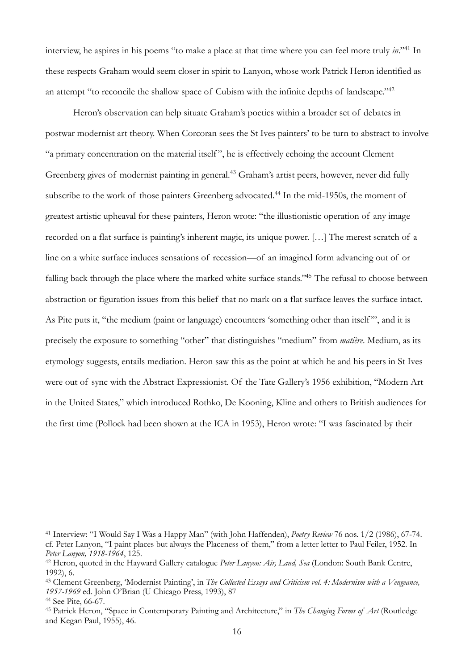<span id="page-15-5"></span>interview, he aspires in his poems ["](#page-15-0)to make a place at that time where you can feel more truly *in*."<sup>[41](#page-15-0)</sup> In these respects Graham would seem closer in spirit to Lanyon, whose work Patrick Heron identified as an attempt ["](#page-15-1)to reconcile the shallow space of Cubism with the infinite depths of landscape."<sup>[42](#page-15-1)</sup>

<span id="page-15-9"></span><span id="page-15-8"></span><span id="page-15-7"></span><span id="page-15-6"></span>Heron's observation can help situate Graham's poetics within a broader set of debates in postwar modernist art theory. When Corcoran sees the St Ives painters' to be turn to abstract to involve "a primary concentration on the material itself ", he is effectively echoing the account Clement Greenberg gives of modernist painting in general.<sup>[43](#page-15-2)</sup> Graham's artist peers, however, never did fully subscribe to the work of those painters Greenberg advocated[.](#page-15-3)<sup>[44](#page-15-3)</sup> In the mid-1950s, the moment of greatest artistic upheaval for these painters, Heron wrote: "the illustionistic operation of any image recorded on a flat surface is painting's inherent magic, its unique power. […] The merest scratch of a line on a white surface induces sensations of recession—of an imagined form advancing out of or falling back through the place where the marked white surface stands.["](#page-15-4)<sup>[45](#page-15-4)</sup> The refusal to choose between abstraction or figuration issues from this belief that no mark on a flat surface leaves the surface intact. As Pite puts it, "the medium (paint or language) encounters 'something other than itself", and it is precisely the exposure to something "other" that distinguishes "medium" from *matière*. Medium, as its etymology suggests, entails mediation. Heron saw this as the point at which he and his peers in St Ives were out of sync with the Abstract Expressionist. Of the Tate Gallery's 1956 exhibition, "Modern Art in the United States," which introduced Rothko, De Kooning, Kline and others to British audiences for the first time (Pollock had been shown at the ICA in 1953), Heron wrote: "I was fascinated by their

<span id="page-15-0"></span><sup>&</sup>lt;sup>[41](#page-15-5)</sup> Interview: "I Would Say I Was a Happy Man" (with John Haffenden), *Poetry Review* 76 nos. 1/2 (1986), 67-74. cf. Peter Lanyon, "I paint places but always the Placeness of them," from a letter letter to Paul Feiler, 1952. In *Peter Lanyon, 1918-1964*, 125.

<span id="page-15-1"></span><sup>&</sup>lt;sup>[42](#page-15-6)</sup> Heron, quoted in the Hayward Gallery catalogue *Peter Lanyon: Air, Land, Sea* (London: South Bank Centre, 1992), 6.

<span id="page-15-2"></span>Clement Greenberg, 'Modernist Painting', in *The Collected Essays and Criticism vol. 4: Modernism with a Vengeance,* [43](#page-15-7) *1957-1969* ed. John O'Brian (U Chicago Press, 1993), 87

<span id="page-15-3"></span><sup>&</sup>lt;sup>[44](#page-15-8)</sup> See Pite, 66-67.

<span id="page-15-4"></span><sup>&</sup>lt;sup>[45](#page-15-9)</sup> Patrick Heron, "Space in Contemporary Painting and Architecture," in *The Changing Forms of Art* (Routledge and Kegan Paul, 1955), 46.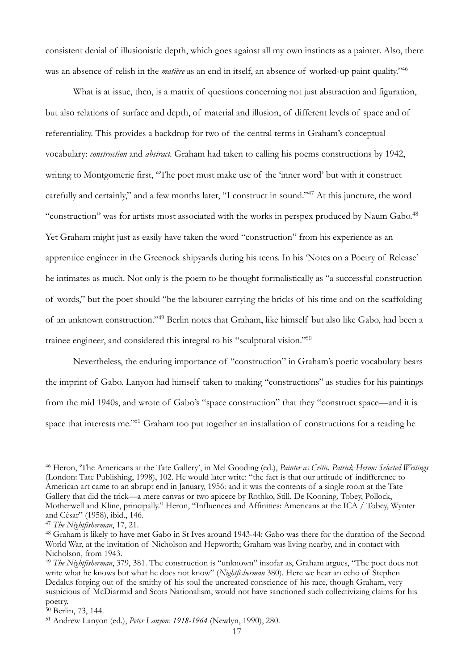<span id="page-16-6"></span>consistent denial of illusionistic depth, which goes against all my own instincts as a painter. Also, there was an absence of relish in the *matière* as an end in itself, an absence of worked-up paint quality."<sup>46</sup>

<span id="page-16-8"></span><span id="page-16-7"></span>What is at issue, then, is a matrix of questions concerning not just abstraction and figuration, but also relations of surface and depth, of material and illusion, of different levels of space and of referentiality. This provides a backdrop for two of the central terms in Graham's conceptual vocabulary: *construction* and *abstract*. Graham had taken to calling his poems constructions by 1942, writing to Montgomerie first, "The poet must make use of the 'inner word' but with it construct carefully and certainly,["](#page-16-1) and a few months later, "I construct in sound."<sup>[47](#page-16-1)</sup> At this juncture, the word "construction" was for artists most associated with the works in perspex produced by Naum Gabo[.48](#page-16-2) Yet Graham might just as easily have taken the word "construction" from his experience as an apprentice engineer in the Greenock shipyards during his teens. In his 'Notes on a Poetry of Release' he intimates as much. Not only is the poem to be thought formalistically as "a successful construction of words," but the poet should "be the labourer carrying the bricks of his time and on the scaffolding of an unknown construction."<sup>[49](#page-16-3)</sup> Berlin notes that Graham, like himself but also like Gabo, had been a trainee engineer, and considered this integral to his "sculptural vision."<sup>50</sup>

<span id="page-16-10"></span><span id="page-16-9"></span>Nevertheless, the enduring importance of "construction" in Graham's poetic vocabulary bears the imprint of Gabo. Lanyon had himself taken to making "constructions" as studies for his paintings from the mid 1940s, and wrote of Gabo's "space construction" that they "construct space—and it is space that interests me.<sup> $351$  $351$ </sup> Graham too put together an installation of constructions for a reading he

<span id="page-16-11"></span><span id="page-16-0"></span><sup>&</sup>lt;sup>[46](#page-16-6)</sup> Heron, 'The Americans at the Tate Gallery', in Mel Gooding (ed.), *Painter as Critic. Patrick Heron: Selected Writings* (London: Tate Publishing, 1998), 102. He would later write: "the fact is that our attitude of indifference to American art came to an abrupt end in January, 1956: and it was the contents of a single room at the Tate Gallery that did the trick—a mere canvas or two apicece by Rothko, Still, De Kooning, Tobey, Pollock, Motherwell and Kline, principally." Heron, "Influences and Affinities: Americans at the ICA / Tobey, Wynter and César" (1958), ibid., 146.

<span id="page-16-1"></span><sup>&</sup>lt;sup>[47](#page-16-7)</sup> The Nightfisherman, 17, 21.

<span id="page-16-2"></span><sup>&</sup>lt;sup>48</sup>Graham is likely to have met Gabo in St Ives around 1943-44: Gabo was there for the duration of the Second World War, at the invitation of Nicholson and Hepworth; Graham was living nearby, and in contact with Nicholson, from 1943.

<span id="page-16-3"></span><sup>&</sup>lt;sup>[49](#page-16-9)</sup> The Nightfisherman, 379, 381. The construction is "unknown" insofar as, Graham argues, "The poet does not write what he knows but what he does not know" (*Nightfisherman* 380). Here we hear an echo of Stephen Dedalus forging out of the smithy of his soul the uncreated conscience of his race, though Graham, very suspicious of McDiarmid and Scots Nationalism, would not have sanctioned such collectivizing claims for his poetry.

<span id="page-16-4"></span> $50$  Berlin, 73, 144.

<span id="page-16-5"></span><sup>&</sup>lt;sup>[51](#page-16-11)</sup> Andrew Lanyon (ed.), *Peter Lanyon: 1918-1964* (Newlyn, 1990), 280.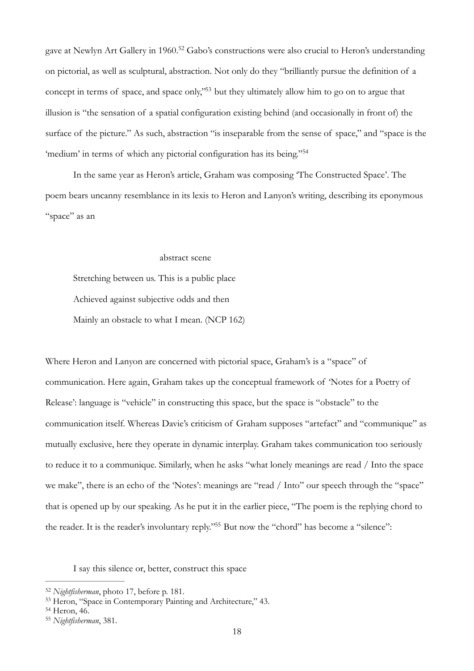<span id="page-17-5"></span><span id="page-17-4"></span>gave at Newlyn Art Gallery in 1960[.](#page-17-0)<sup>[52](#page-17-0)</sup> Gabo's constructions were also crucial to Heron's understanding on pictorial, as well as sculptural, abstraction. Not only do they "brilliantly pursue the definition of a concept in terms of space, and space only,<sup>3[53](#page-17-1)</sup> but they ultimately allow him to go on to argue that illusion is "the sensation of a spatial configuration existing behind (and occasionally in front of) the surface of the picture." As such, abstraction "is inseparable from the sense of space," and "space is the 'medium' in terms of which any pictorial configuration has its being.["54](#page-17-2)

In the same year as Heron's article, Graham was composing 'The Constructed Space'. The poem bears uncanny resemblance in its lexis to Heron and Lanyon's writing, describing its eponymous "space" as an

#### <span id="page-17-6"></span>abstract scene

Stretching between us. This is a public place Achieved against subjective odds and then Mainly an obstacle to what I mean. (NCP 162)

Where Heron and Lanyon are concerned with pictorial space, Graham's is a "space" of communication. Here again, Graham takes up the conceptual framework of 'Notes for a Poetry of Release': language is "vehicle" in constructing this space, but the space is "obstacle" to the communication itself. Whereas Davie's criticism of Graham supposes "artefact" and "communique" as mutually exclusive, here they operate in dynamic interplay. Graham takes communication too seriously to reduce it to a communique. Similarly, when he asks "what lonely meanings are read / Into the space we make", there is an echo of the 'Notes': meanings are "read / Into" our speech through the "space" that is opened up by our speaking. As he put it in the earlier piece, "The poem is the replying chord to the reader. It is the reader's involuntary reply."<sup>55</sup> But now the "chord["](#page-17-3) has become a "silence":

<span id="page-17-7"></span>I say this silence or, better, construct this space

<span id="page-17-0"></span><sup>&</sup>lt;sup>[52](#page-17-4)</sup> Nightfisherman, photo 17, before p. 181.

<span id="page-17-1"></span><sup>&</sup>lt;sup>[53](#page-17-5)</sup> Heron, "Space in Contemporary Painting and Architecture," 43.

<span id="page-17-2"></span>[<sup>54</sup>](#page-17-6) Heron, 46.

<span id="page-17-3"></span><sup>&</sup>lt;sup>[55](#page-17-7)</sup> Nightfisherman, 381.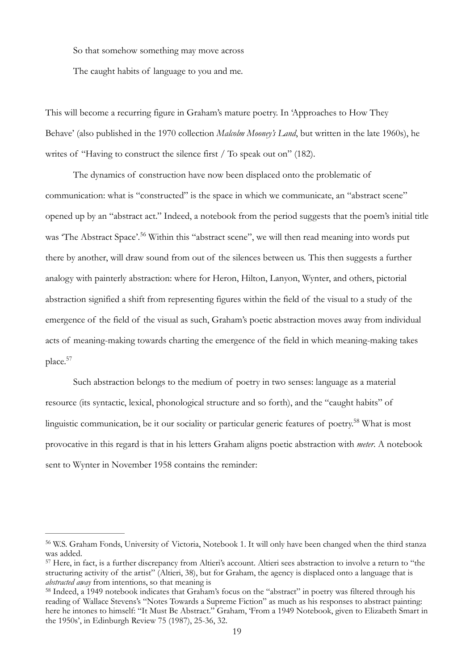So that somehow something may move across

The caught habits of language to you and me.

This will become a recurring figure in Graham's mature poetry. In 'Approaches to How They Behave' (also published in the 1970 collection *Malcolm Mooney's Land*, but written in the late 1960s), he writes of "Having to construct the silence first / To speak out on" (182).

<span id="page-18-3"></span>The dynamics of construction have now been displaced onto the problematic of communication: what is "constructed" is the space in which we communicate, an "abstract scene" opened up by an "abstract act." Indeed, a notebook from the period suggests that the poem's initial title was 'The Abstract Space'.<sup>[56](#page-18-0)</sup> Within this "abstract scene", we will then read meaning into words put there by another, will draw sound from out of the silences between us. This then suggests a further analogy with painterly abstraction: where for Heron, Hilton, Lanyon, Wynter, and others, pictorial abstraction signified a shift from representing figures within the field of the visual to a study of the emergence of the field of the visual as such, Graham's poetic abstraction moves away from individual acts of meaning-making towards charting the emergence of the field in which meaning-making takes place[.57](#page-18-1)

<span id="page-18-5"></span><span id="page-18-4"></span>Such abstraction belongs to the medium of poetry in two senses: language as a material resource (its syntactic, lexical, phonological structure and so forth), and the "caught habits" of linguistic communication, be it our sociality or particular generic features of poetry[.](#page-18-2)<sup>[58](#page-18-2)</sup> What is most provocative in this regard is that in his letters Graham aligns poetic abstraction with *meter*. A notebook sent to Wynter in November 1958 contains the reminder:

<span id="page-18-0"></span><sup>&</sup>lt;sup>56</sup>W.S. Graham Fonds, University of Victoria, Notebook 1. It will only have been changed when the third stanza was added.

<span id="page-18-1"></span><sup>&</sup>lt;sup>57</sup>Here, in fact, is a further discrepancy from Altieri's account. Altieri sees abstraction to involve a return to "the structuring activity of the artist" (Altieri, 38), but for Graham, the agency is displaced onto a language that is *abstracted away* from intentions, so that meaning is

<span id="page-18-2"></span><sup>&</sup>lt;sup>58</sup>Indeed, a 1949 notebook indicates that Graham's focus on the "abstract" in poetry was filtered through his reading of Wallace Stevens's "Notes Towards a Supreme Fiction" as much as his responses to abstract painting: here he intones to himself: "It Must Be Abstract." Graham, 'From a 1949 Notebook, given to Elizabeth Smart in the 1950s', in Edinburgh Review 75 (1987), 25-36, 32.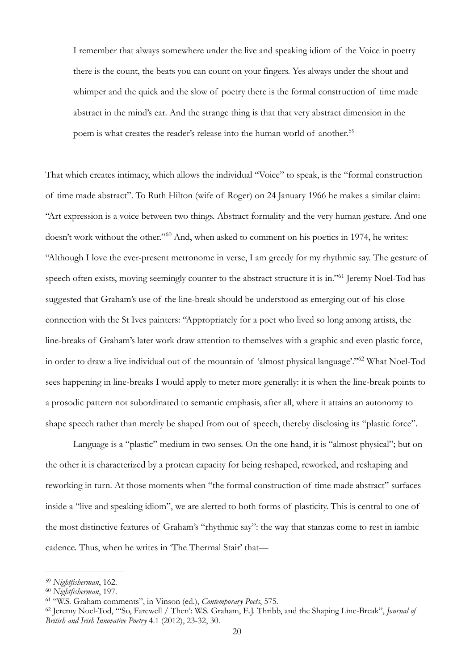<span id="page-19-4"></span>I remember that always somewhere under the live and speaking idiom of the Voice in poetry there is the count, the beats you can count on your fingers. Yes always under the shout and whimper and the quick and the slow of poetry there is the formal construction of time made abstract in the mind's ear. And the strange thing is that that very abstract dimension in the poem is what creates the reader's release into the human world of another.<sup>[59](#page-19-0)</sup>

<span id="page-19-6"></span><span id="page-19-5"></span>That which creates intimacy, which allows the individual "Voice" to speak, is the "formal construction of time made abstract". To Ruth Hilton (wife of Roger) on 24 January 1966 he makes a similar claim: "Art expression is a voice between two things. Abstract formality and the very human gesture. And one doesn't work without the other."<sup>[60](#page-19-1)</sup> And, when asked to comment on his poetics in 1974, he writes: "Although I love the ever-present metronome in verse, I am greedy for my rhythmic say. The gesture of speech often exists, moving seemingly counter to the abstract structure it is in.["](#page-19-2)<sup>[61](#page-19-2)</sup> Jeremy Noel-Tod has suggested that Graham's use of the line-break should be understood as emerging out of his close connection with the St Ives painters: "Appropriately for a poet who lived so long among artists, the line-breaks of Graham's later work draw attention to themselves with a graphic and even plastic force, in order to draw a live individual out of the mountain of 'almost physical language'.["](#page-19-3)<sup>[62](#page-19-3)</sup> What Noel-Tod sees happening in line-breaks I would apply to meter more generally: it is when the line-break points to a prosodic pattern not subordinated to semantic emphasis, after all, where it attains an autonomy to shape speech rather than merely be shaped from out of speech, thereby disclosing its "plastic force".

<span id="page-19-7"></span>Language is a "plastic" medium in two senses. On the one hand, it is "almost physical"; but on the other it is characterized by a protean capacity for being reshaped, reworked, and reshaping and reworking in turn. At those moments when "the formal construction of time made abstract" surfaces inside a "live and speaking idiom", we are alerted to both forms of plasticity. This is central to one of the most distinctive features of Graham's "rhythmic say": the way that stanzas come to rest in iambic cadence. Thus, when he writes in 'The Thermal Stair' that—

<span id="page-19-0"></span><sup>&</sup>lt;sup>[59](#page-19-4)</sup> Nightfisherman, 162.

<span id="page-19-1"></span><sup>&</sup>lt;sup>[60](#page-19-5)</sup> Nightfisherman, 197.

<span id="page-19-2"></span><sup>&</sup>lt;sup>[61](#page-19-6)</sup> "W.S. Graham comments", in Vinson (ed.), *Contemporary Poets*, 575.

<span id="page-19-3"></span><sup>&</sup>lt;sup>[62](#page-19-7)</sup> Jeremy Noel-Tod, "'So, Farewell / Then': W.S. Graham, E.J. Thribb, and the Shaping Line-Break", *Journal of British and Irish Innovative Poetry* 4.1 (2012), 23-32, 30.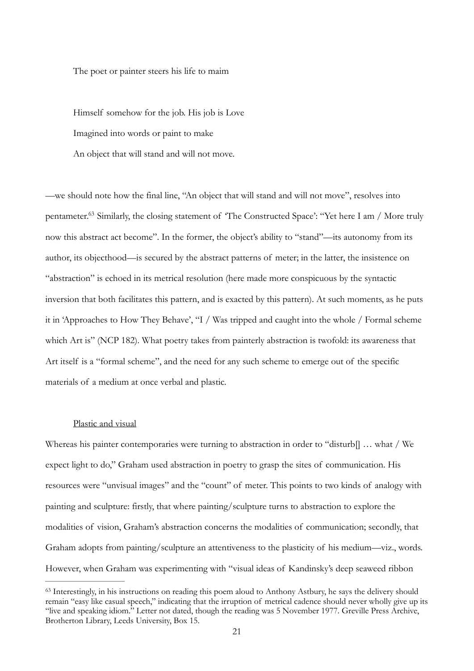The poet or painter steers his life to maim

Himself somehow for the job. His job is Love

Imagined into words or paint to make

An object that will stand and will not move.

<span id="page-20-1"></span>—we should note how the final line, "An object that will stand and will not move", resolves into pentameter[.](#page-20-0)<sup>[63](#page-20-0)</sup> Similarly, the closing statement of 'The Constructed Space': "Yet here I am / More truly now this abstract act become". In the former, the object's ability to "stand"—its autonomy from its author, its objecthood—is secured by the abstract patterns of meter; in the latter, the insistence on "abstraction" is echoed in its metrical resolution (here made more conspicuous by the syntactic inversion that both facilitates this pattern, and is exacted by this pattern). At such moments, as he puts it in 'Approaches to How They Behave', "I / Was tripped and caught into the whole / Formal scheme which Art is" (NCP 182). What poetry takes from painterly abstraction is twofold: its awareness that Art itself is a "formal scheme", and the need for any such scheme to emerge out of the specific materials of a medium at once verbal and plastic.

# Plastic and visual

Whereas his painter contemporaries were turning to abstraction in order to "disturb] ... what / We expect light to do," Graham used abstraction in poetry to grasp the sites of communication. His resources were "unvisual images" and the "count" of meter. This points to two kinds of analogy with painting and sculpture: firstly, that where painting/sculpture turns to abstraction to explore the modalities of vision, Graham's abstraction concerns the modalities of communication; secondly, that Graham adopts from painting/sculpture an attentiveness to the plasticity of his medium—viz., words. However, when Graham was experimenting with "visual ideas of Kandinsky's deep seaweed ribbon

<span id="page-20-0"></span><sup>&</sup>lt;sup>63</sup>Interestingly, in his instructions on reading this poem aloud to Anthony Astbury, he says the delivery should remain "easy like casual speech," indicating that the irruption of metrical cadence should never wholly give up its "live and speaking idiom." Letter not dated, though the reading was 5 November 1977. Greville Press Archive, Brotherton Library, Leeds University, Box 15.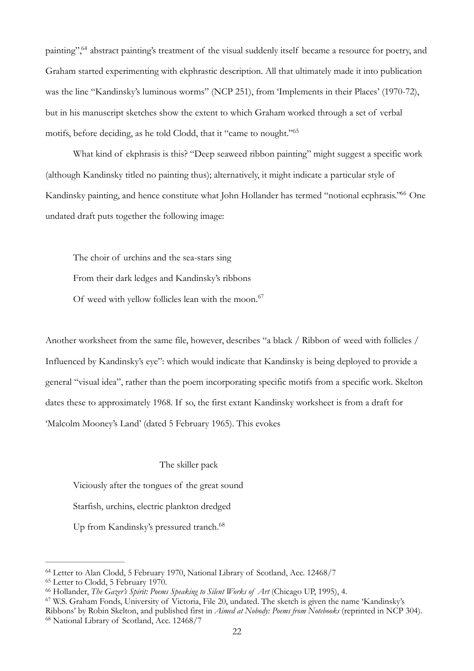<span id="page-21-5"></span>painting"[,](#page-21-0) <sup>[64](#page-21-0)</sup> abstract painting's treatment of the visual suddenly itself became a resource for poetry, and Graham started experimenting with ekphrastic description. All that ultimately made it into publication was the line "Kandinsky's luminous worms" (NCP 251), from 'Implements in their Places' (1970-72), but in his manuscript sketches show the extent to which Graham worked through a set of verbal motifs, before deciding, as he told Clodd, that it "came to nought."[65](#page-21-1)

<span id="page-21-6"></span>What kind of ekphrasis is this? "Deep seaweed ribbon painting" might suggest a specific work (although Kandinsky titled no painting thus); alternatively, it might indicate a particular style of Kandinsky painting, and hence constitute what John Hollander has termed ["](#page-21-2)notional ecphrasis." One undated draft puts together the following image:

<span id="page-21-8"></span><span id="page-21-7"></span>The choir of urchins and the sea-stars sing From their dark ledges and Kandinsky's ribbons Of weed with yellow follicles lean with the moon.<sup>[67](#page-21-3)</sup>

Another worksheet from the same file, however, describes "a black / Ribbon of weed with follicles / Influenced by Kandinsky's eye": which would indicate that Kandinsky is being deployed to provide a general "visual idea", rather than the poem incorporating specific motifs from a specific work. Skelton dates these to approximately 1968. If so, the first extant Kandinsky worksheet is from a draft for 'Malcolm Mooney's Land' (dated 5 February 1965). This evokes

<span id="page-21-9"></span>The skiller pack

Viciously after the tongues of the great sound Starfish, urchins, electric plankton dredged Up from Kandinsky's pressured tranch.<sup>68</sup>

<span id="page-21-4"></span><span id="page-21-3"></span>W.S. Graham Fonds, University of Victoria, File 20, undated. The sketch is given the name 'Kandinsky's [67](#page-21-8) Ribbons' by Robin Skelton, and published first in *Aimed at Nobody: Poems from Notebooks* (reprinted in NCP 304). <sup>[68](#page-21-9)</sup> National Library of Scotland, Acc. 12468/7

<span id="page-21-0"></span><sup>&</sup>lt;sup>[64](#page-21-5)</sup> Letter to Alan Clodd, 5 February 1970, National Library of Scotland, Acc. 12468/7

<span id="page-21-1"></span><sup>&</sup>lt;sup>[65](#page-21-6)</sup> Letter to Clodd, 5 February 1970.

<span id="page-21-2"></span><sup>&</sup>lt;sup>[66](#page-21-7)</sup> Hollander, *The Gazer's Spirit: Poems Speaking to Silent Works of Art* (Chicago UP, 1995), 4.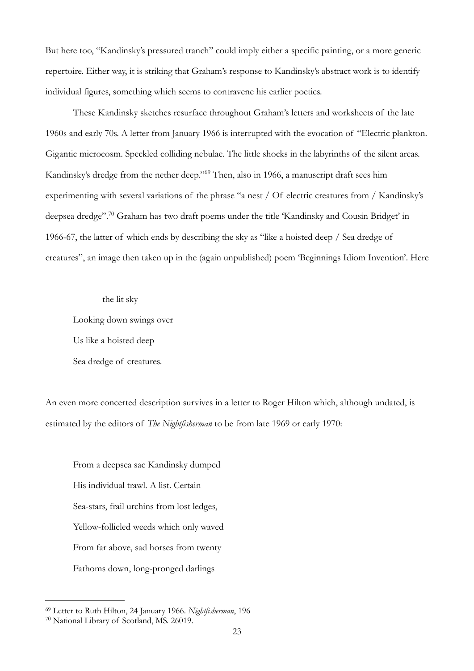But here too, "Kandinsky's pressured tranch" could imply either a specific painting, or a more generic repertoire. Either way, it is striking that Graham's response to Kandinsky's abstract work is to identify individual figures, something which seems to contravene his earlier poetics.

These Kandinsky sketches resurface throughout Graham's letters and worksheets of the late 1960s and early 70s. A letter from January 1966 is interrupted with the evocation of "Electric plankton. Gigantic microcosm. Speckled colliding nebulae. The little shocks in the labyrinths of the silent areas. Kandinsky's dredge from the nether deep."<sup>[69](#page-22-0)</sup> Then, also in 1966, a manuscript draft sees him experimenting with several variations of the phrase "a nest / Of electric creatures from / Kandinsky's deepsea dredge"[.](#page-22-1)<sup>[70](#page-22-1)</sup> Graham has two draft poems under the title 'Kandinsky and Cousin Bridget' in 1966-67, the latter of which ends by describing the sky as "like a hoisted deep / Sea dredge of creatures", an image then taken up in the (again unpublished) poem 'Beginnings Idiom Invention'. Here

<span id="page-22-3"></span><span id="page-22-2"></span>the lit sky

Looking down swings over Us like a hoisted deep

Sea dredge of creatures.

An even more concerted description survives in a letter to Roger Hilton which, although undated, is estimated by the editors of *The Nightfisherman* to be from late 1969 or early 1970:

23

From a deepsea sac Kandinsky dumped His individual trawl. A list. Certain Sea-stars, frail urchins from lost ledges, Yellow-follicled weeds which only waved From far above, sad horses from twenty Fathoms down, long-pronged darlings

<span id="page-22-1"></span><span id="page-22-0"></span><sup>&</sup>lt;sup>[69](#page-22-2)</sup> Letter to Ruth Hilton, 24 January 1966. *Nightfisherman*, 196 <sup>[70](#page-22-3)</sup> National Library of Scotland, MS. 26019.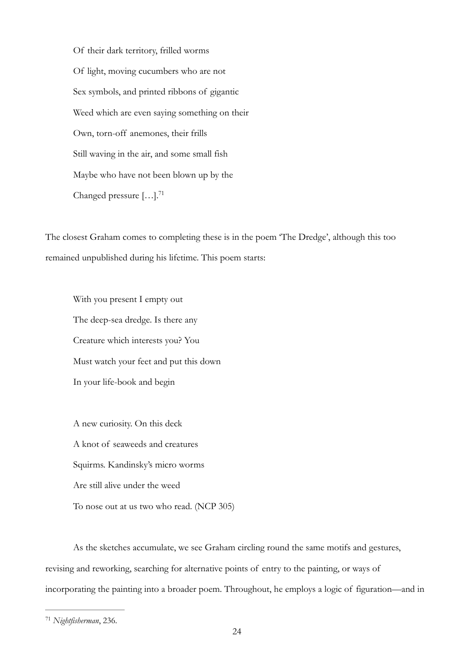Of their dark territory, frilled worms Of light, moving cucumbers who are not Sex symbols, and printed ribbons of gigantic Weed which are even saying something on their Own, torn-off anemones, their frills Still waving in the air, and some small fish Maybe who have not been blown up by the Changed pressure  $[\dots]$ .<sup>71</sup>

<span id="page-23-1"></span>The closest Graham comes to completing these is in the poem 'The Dredge', although this too remained unpublished during his lifetime. This poem starts:

With you present I empty out The deep-sea dredge. Is there any Creature which interests you? You Must watch your feet and put this down In your life-book and begin

A new curiosity. On this deck A knot of seaweeds and creatures Squirms. Kandinsky's micro worms Are still alive under the weed To nose out at us two who read. (NCP 305)

As the sketches accumulate, we see Graham circling round the same motifs and gestures, revising and reworking, searching for alternative points of entry to the painting, or ways of incorporating the painting into a broader poem. Throughout, he employs a logic of figuration—and in

<span id="page-23-0"></span><sup>&</sup>lt;sup>[71](#page-23-1)</sup> Nightfisherman, 236.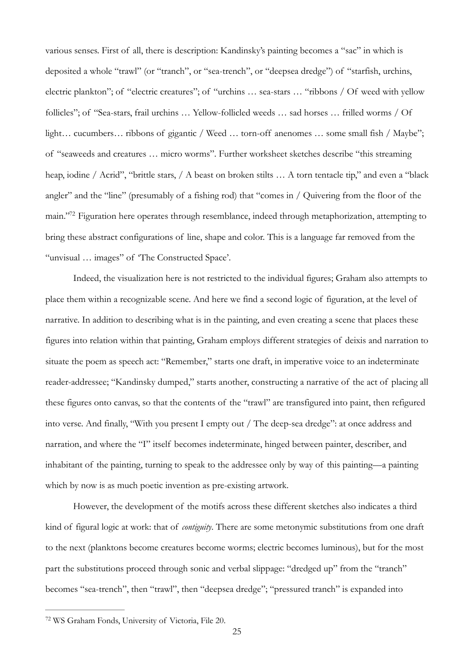various senses. First of all, there is description: Kandinsky's painting becomes a "sac" in which is deposited a whole "trawl" (or "tranch", or "sea-trench", or "deepsea dredge") of "starfish, urchins, electric plankton"; of "electric creatures"; of "urchins … sea-stars … "ribbons / Of weed with yellow follicles"; of "Sea-stars, frail urchins … Yellow-follicled weeds … sad horses … frilled worms / Of light... cucumbers... ribbons of gigantic / Weed ... torn-off anenomes ... some small fish / Maybe"; of "seaweeds and creatures … micro worms". Further worksheet sketches describe "this streaming heap, iodine / Acrid", "brittle stars, / A beast on broken stilts … A torn tentacle tip," and even a "black angler" and the "line" (presumably of a fishing rod) that "comes in / Quivering from the floor of the main.["](#page-24-0)<sup>[72](#page-24-0)</sup> Figuration here operates through resemblance, indeed through metaphorization, attempting to bring these abstract configurations of line, shape and color. This is a language far removed from the "unvisual … images" of 'The Constructed Space'.

<span id="page-24-1"></span>Indeed, the visualization here is not restricted to the individual figures; Graham also attempts to place them within a recognizable scene. And here we find a second logic of figuration, at the level of narrative. In addition to describing what is in the painting, and even creating a scene that places these figures into relation within that painting, Graham employs different strategies of deixis and narration to situate the poem as speech act: "Remember," starts one draft, in imperative voice to an indeterminate reader-addressee; "Kandinsky dumped," starts another, constructing a narrative of the act of placing all these figures onto canvas, so that the contents of the "trawl" are transfigured into paint, then refigured into verse. And finally, "With you present I empty out / The deep-sea dredge": at once address and narration, and where the "I" itself becomes indeterminate, hinged between painter, describer, and inhabitant of the painting, turning to speak to the addressee only by way of this painting—a painting which by now is as much poetic invention as pre-existing artwork.

However, the development of the motifs across these different sketches also indicates a third kind of figural logic at work: that of *contiguity*. There are some metonymic substitutions from one draft to the next (planktons become creatures become worms; electric becomes luminous), but for the most part the substitutions proceed through sonic and verbal slippage: "dredged up" from the "tranch" becomes "sea-trench", then "trawl", then "deepsea dredge"; "pressured tranch" is expanded into

<span id="page-24-0"></span><sup>&</sup>lt;sup>[72](#page-24-1)</sup> WS Graham Fonds, University of Victoria, File 20.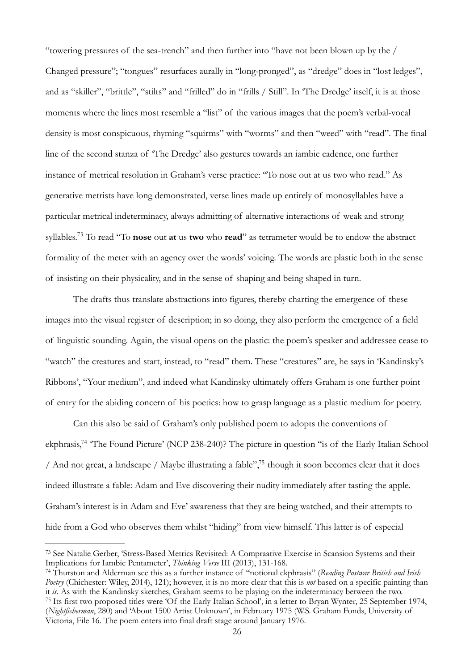"towering pressures of the sea-trench" and then further into "have not been blown up by the / Changed pressure"; "tongues" resurfaces aurally in "long-pronged", as "dredge" does in "lost ledges", and as "skiller", "brittle", "stilts" and "frilled" do in "frills / Still". In 'The Dredge' itself, it is at those moments where the lines most resemble a "list" of the various images that the poem's verbal-vocal density is most conspicuous, rhyming "squirms" with "worms" and then "weed" with "read". The final line of the second stanza of 'The Dredge' also gestures towards an iambic cadence, one further instance of metrical resolution in Graham's verse practice: "To nose out at us two who read." As generative metrists have long demonstrated, verse lines made up entirely of monosyllables have a particular metrical indeterminacy, always admitting of alternative interactions of weak and strong syllables.<sup>[73](#page-25-0)</sup> To read "To **nose** out **at** us **two** who **read**" as tetrameter would be to endow the abstract formality of the meter with an agency over the words' voicing. The words are plastic both in the sense of insisting on their physicality, and in the sense of shaping and being shaped in turn.

<span id="page-25-3"></span>The drafts thus translate abstractions into figures, thereby charting the emergence of these images into the visual register of description; in so doing, they also perform the emergence of a field of linguistic sounding. Again, the visual opens on the plastic: the poem's speaker and addressee cease to "watch" the creatures and start, instead, to "read" them. These "creatures" are, he says in 'Kandinsky's Ribbons', "Your medium", and indeed what Kandinsky ultimately offers Graham is one further point of entry for the abiding concern of his poetics: how to grasp language as a plastic medium for poetry.

<span id="page-25-5"></span><span id="page-25-4"></span>Can this also be said of Graham's only published poem to adopts the conventions of ekphrasis[,](#page-25-1)<sup>[74](#page-25-1)</sup> The Found Picture' (NCP 238-240)? The picture in question "is of the Early Italian School / And not great[,](#page-25-2) a landscape / Maybe illustrating a fable",<sup>[75](#page-25-2)</sup> though it soon becomes clear that it does indeed illustrate a fable: Adam and Eve discovering their nudity immediately after tasting the apple. Graham's interest is in Adam and Eve' awareness that they are being watched, and their attempts to hide from a God who observes them whilst "hiding" from view himself. This latter is of especial

<span id="page-25-0"></span><sup>&</sup>lt;sup>73</sup>See Natalie Gerber, 'Stress-Based Metrics Revisited: A Compraative Exercise in Scansion Systems and their Implications for Iambic Pentameter', *Thinking Verse* III (2013), 131-168.

<span id="page-25-2"></span><span id="page-25-1"></span>Thurston and Alderman see this as a further instance of "notional ekphrasis" (*Reading Postwar British and Irish* [74](#page-25-4) *Poetry* (Chichester: Wiley, 2014), 121); however, it is no more clear that this is *not* based on a specific painting than it *is*. As with the Kandinsky sketches, Graham seems to be playing on the indeterminacy between the two. <sup>75</sup>Its first two proposed titles were 'Of the Early Italian School', in a letter to Bryan Wynter, 25 September 1974, (*Nightfisherman*, 280) and 'About 1500 Artist Unknown', in February 1975 (W.S. Graham Fonds, University of Victoria, File 16. The poem enters into final draft stage around January 1976.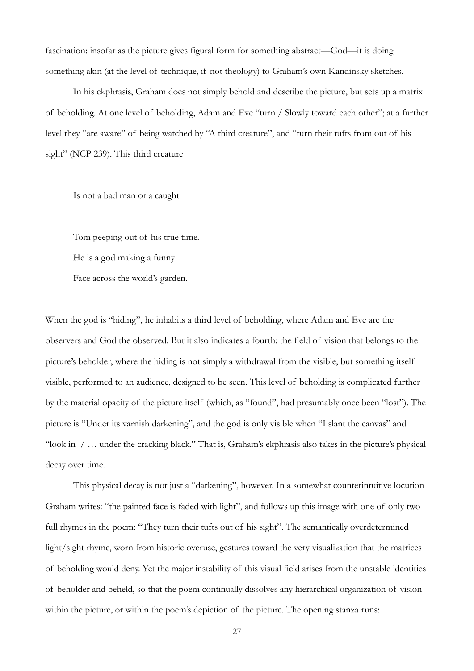fascination: insofar as the picture gives figural form for something abstract—God—it is doing something akin (at the level of technique, if not theology) to Graham's own Kandinsky sketches.

In his ekphrasis, Graham does not simply behold and describe the picture, but sets up a matrix of beholding. At one level of beholding, Adam and Eve "turn / Slowly toward each other"; at a further level they "are aware" of being watched by "A third creature", and "turn their tufts from out of his sight" (NCP 239). This third creature

Is not a bad man or a caught

Tom peeping out of his true time.

He is a god making a funny

Face across the world's garden.

When the god is "hiding", he inhabits a third level of beholding, where Adam and Eve are the observers and God the observed. But it also indicates a fourth: the field of vision that belongs to the picture's beholder, where the hiding is not simply a withdrawal from the visible, but something itself visible, performed to an audience, designed to be seen. This level of beholding is complicated further by the material opacity of the picture itself (which, as "found", had presumably once been "lost"). The picture is "Under its varnish darkening", and the god is only visible when "I slant the canvas" and "look in / … under the cracking black." That is, Graham's ekphrasis also takes in the picture's physical decay over time.

This physical decay is not just a "darkening", however. In a somewhat counterintuitive locution Graham writes: "the painted face is faded with light", and follows up this image with one of only two full rhymes in the poem: "They turn their tufts out of his sight". The semantically overdetermined light/sight rhyme, worn from historic overuse, gestures toward the very visualization that the matrices of beholding would deny. Yet the major instability of this visual field arises from the unstable identities of beholder and beheld, so that the poem continually dissolves any hierarchical organization of vision within the picture, or within the poem's depiction of the picture. The opening stanza runs: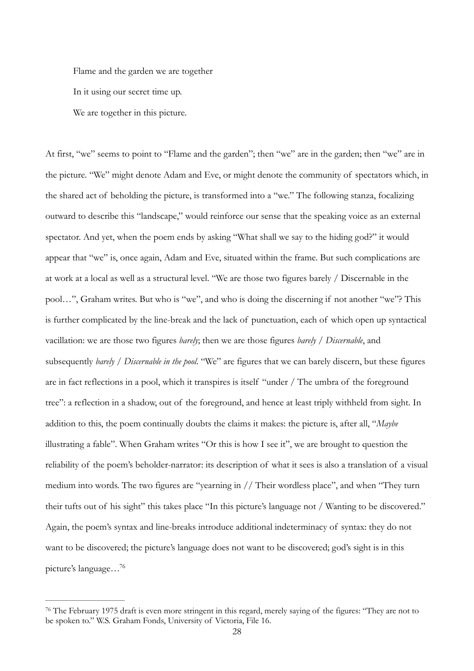Flame and the garden we are together In it using our secret time up. We are together in this picture.

At first, "we" seems to point to "Flame and the garden"; then "we" are in the garden; then "we" are in the picture. "We" might denote Adam and Eve, or might denote the community of spectators which, in the shared act of beholding the picture, is transformed into a "we." The following stanza, focalizing outward to describe this "landscape," would reinforce our sense that the speaking voice as an external spectator. And yet, when the poem ends by asking "What shall we say to the hiding god?" it would appear that "we" is, once again, Adam and Eve, situated within the frame. But such complications are at work at a local as well as a structural level. "We are those two figures barely / Discernable in the pool…", Graham writes. But who is "we", and who is doing the discerning if not another "we"? This is further complicated by the line-break and the lack of punctuation, each of which open up syntactical vacillation: we are those two figures *barely*; then we are those figures *barely / Discernable*, and subsequently *barely / Discernable in the pool*. "We" are figures that we can barely discern, but these figures are in fact reflections in a pool, which it transpires is itself "under / The umbra of the foreground tree": a reflection in a shadow, out of the foreground, and hence at least triply withheld from sight. In addition to this, the poem continually doubts the claims it makes: the picture is, after all, "*Maybe* illustrating a fable". When Graham writes "Or this is how I see it", we are brought to question the reliability of the poem's beholder-narrator: its description of what it sees is also a translation of a visual medium into words. The two figures are "yearning in // Their wordless place", and when "They turn their tufts out of his sight" this takes place "In this picture's language not / Wanting to be discovered." Again, the poem's syntax and line-breaks introduce additional indeterminacy of syntax: they do not want to be discovered; the picture's language does not want to be discovered; god's sight is in this picture's language[…76](#page-27-0)

<span id="page-27-1"></span><span id="page-27-0"></span> $76$ The February 1975 draft is even more stringent in this regard, merely saying of the figures: "They are not to be spoken to." W.S. Graham Fonds, University of Victoria, File 16.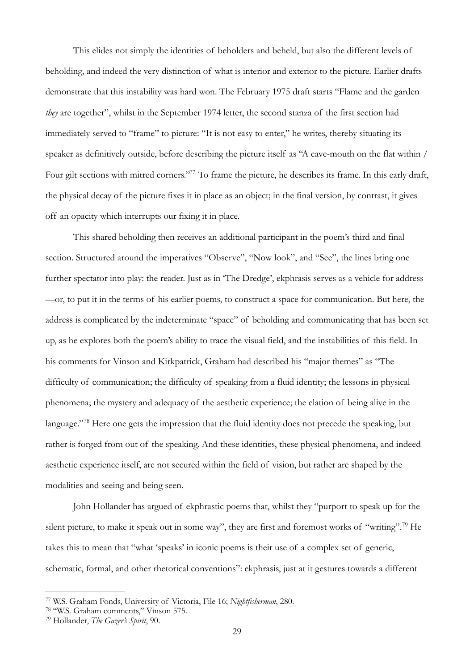This elides not simply the identities of beholders and beheld, but also the different levels of beholding, and indeed the very distinction of what is interior and exterior to the picture. Earlier drafts demonstrate that this instability was hard won. The February 1975 draft starts "Flame and the garden *they* are together", whilst in the September 1974 letter, the second stanza of the first section had immediately served to "frame" to picture: "It is not easy to enter," he writes, thereby situating its speaker as definitively outside, before describing the picture itself as "A cave-mouth on the flat within / Four gilt sections with mitred corners.["](#page-28-0)<sup>[77](#page-28-0)</sup> To frame the picture, he describes its frame. In this early draft, the physical decay of the picture fixes it in place as an object; in the final version, by contrast, it gives off an opacity which interrupts our fixing it in place.

<span id="page-28-3"></span>This shared beholding then receives an additional participant in the poem's third and final section. Structured around the imperatives "Observe", "Now look", and "See", the lines bring one further spectator into play: the reader. Just as in 'The Dredge', ekphrasis serves as a vehicle for address —or, to put it in the terms of his earlier poems, to construct a space for communication. But here, the address is complicated by the indeterminate "space" of beholding and communicating that has been set up, as he explores both the poem's ability to trace the visual field, and the instabilities of this field. In his comments for Vinson and Kirkpatrick, Graham had described his "major themes" as "The difficulty of communication; the difficulty of speaking from a fluid identity; the lessons in physical phenomena; the mystery and adequacy of the aesthetic experience; the elation of being alive in the language."<sup>[78](#page-28-1)</sup> Here one gets the impression that the fluid identity does not precede the speaking, but rather is forged from out of the speaking. And these identities, these physical phenomena, and indeed aesthetic experience itself, are not secured within the field of vision, but rather are shaped by the modalities and seeing and being seen.

<span id="page-28-5"></span><span id="page-28-4"></span>John Hollander has argued of ekphrastic poems that, whilst they "purport to speak up for the silent picture, to make it speak out in some way", they are first and foremost works of "writing"[.](#page-28-2)<sup>[79](#page-28-2)</sup> He takes this to mean that "what 'speaks' in iconic poems is their use of a complex set of generic, schematic, formal, and other rhetorical conventions": ekphrasis, just at it gestures towards a different

<span id="page-28-0"></span>W.S. Graham Fonds, University of Victoria, File 16; *Nightfisherman*, 280. [77](#page-28-3)

<span id="page-28-1"></span><sup>&</sup>lt;sup>[78](#page-28-4)</sup> "W.S. Graham comments," Vinson 575.

<span id="page-28-2"></span><sup>&</sup>lt;sup>[79](#page-28-5)</sup> Hollander, *The Gazer's Spirit*, 90.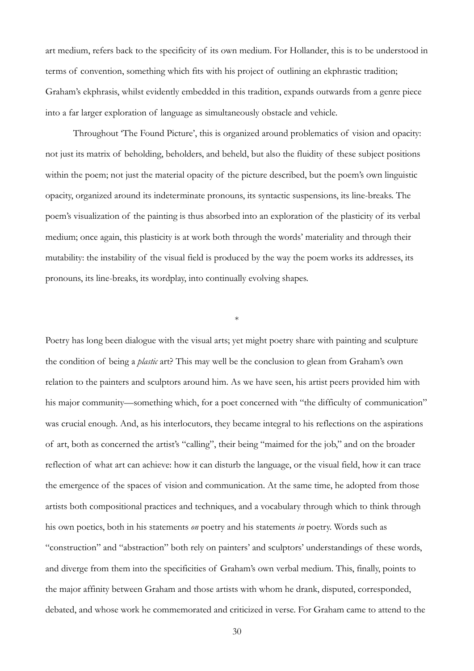art medium, refers back to the specificity of its own medium. For Hollander, this is to be understood in terms of convention, something which fits with his project of outlining an ekphrastic tradition; Graham's ekphrasis, whilst evidently embedded in this tradition, expands outwards from a genre piece into a far larger exploration of language as simultaneously obstacle and vehicle.

Throughout 'The Found Picture', this is organized around problematics of vision and opacity: not just its matrix of beholding, beholders, and beheld, but also the fluidity of these subject positions within the poem; not just the material opacity of the picture described, but the poem's own linguistic opacity, organized around its indeterminate pronouns, its syntactic suspensions, its line-breaks. The poem's visualization of the painting is thus absorbed into an exploration of the plasticity of its verbal medium; once again, this plasticity is at work both through the words' materiality and through their mutability: the instability of the visual field is produced by the way the poem works its addresses, its pronouns, its line-breaks, its wordplay, into continually evolving shapes.

\*

Poetry has long been dialogue with the visual arts; yet might poetry share with painting and sculpture the condition of being a *plastic* art? This may well be the conclusion to glean from Graham's own relation to the painters and sculptors around him. As we have seen, his artist peers provided him with his major community—something which, for a poet concerned with "the difficulty of communication" was crucial enough. And, as his interlocutors, they became integral to his reflections on the aspirations of art, both as concerned the artist's "calling", their being "maimed for the job," and on the broader reflection of what art can achieve: how it can disturb the language, or the visual field, how it can trace the emergence of the spaces of vision and communication. At the same time, he adopted from those artists both compositional practices and techniques, and a vocabulary through which to think through his own poetics, both in his statements *on* poetry and his statements *in* poetry. Words such as "construction" and "abstraction" both rely on painters' and sculptors' understandings of these words, and diverge from them into the specificities of Graham's own verbal medium. This, finally, points to the major affinity between Graham and those artists with whom he drank, disputed, corresponded, debated, and whose work he commemorated and criticized in verse. For Graham came to attend to the